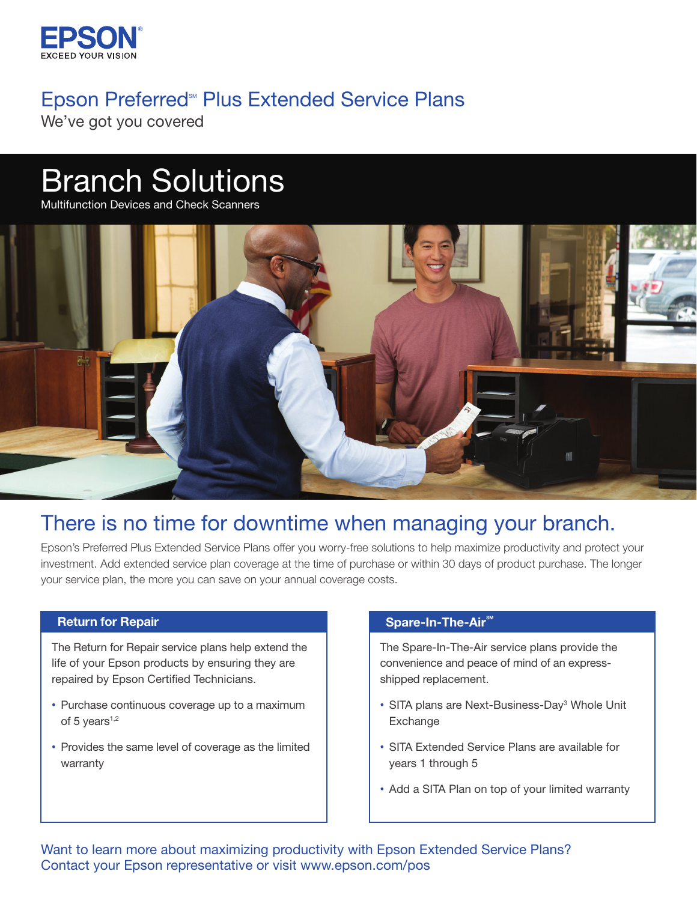

# Epson Preferred<sup>®</sup> Plus Extended Service Plans

We've got you covered

# Branch Solutions

Multifunction Devices and Check Scanners



## There is no time for downtime when managing your branch.

Epson's Preferred Plus Extended Service Plans offer you worry-free solutions to help maximize productivity and protect your investment. Add extended service plan coverage at the time of purchase or within 30 days of product purchase. The longer your service plan, the more you can save on your annual coverage costs.

#### Return for Repair

The Return for Repair service plans help extend the life of your Epson products by ensuring they are repaired by Epson Certified Technicians.

- Purchase continuous coverage up to a maximum of  $5$  years<sup>1,2</sup>
- Provides the same level of coverage as the limited warranty

#### Spare-In-The-Air<sup>™</sup>

The Spare-In-The-Air service plans provide the convenience and peace of mind of an expressshipped replacement.

- SITA plans are Next-Business-Day<sup>3</sup> Whole Unit Exchange
- SITA Extended Service Plans are available for years 1 through 5
- Add a SITA Plan on top of your limited warranty

Want to learn more about maximizing productivity with Epson Extended Service Plans? Contact your Epson representative or visit [www.epson.com/pos](https://www.epson.com/pos)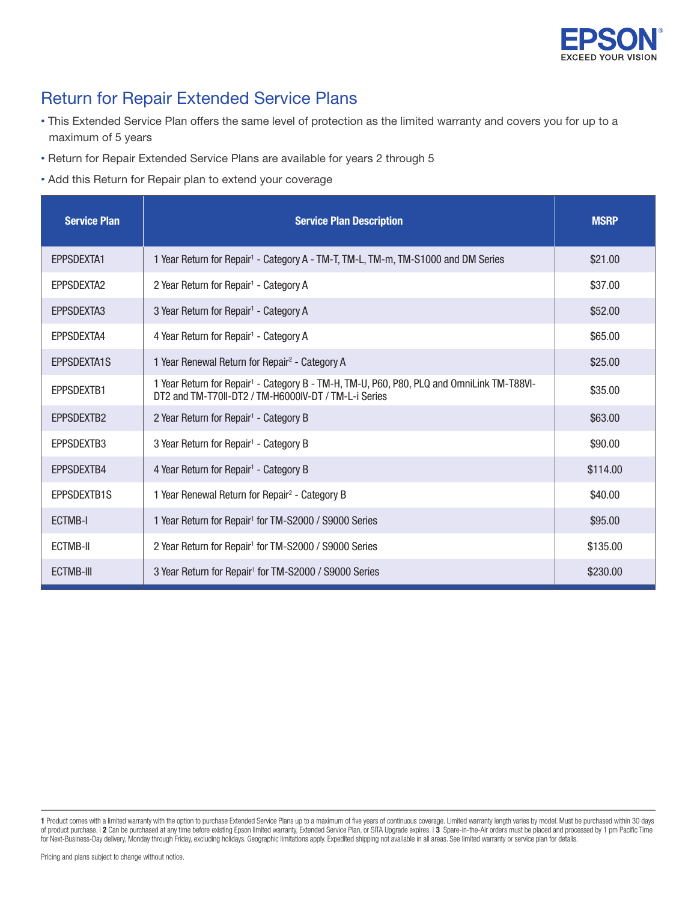

## Return for Repair Extended Service Plans

- This Extended Service Plan offers the same level of protection as the limited warranty and covers you for up to a maximum of 5 years
- Return for Repair Extended Service Plans are available for years 2 through 5
- Add this Return for Repair plan to extend your coverage

| <b>Service Plan</b> | <b>Service Plan Description</b>                                                                                                                               | <b>MSRP</b> |
|---------------------|---------------------------------------------------------------------------------------------------------------------------------------------------------------|-------------|
| <b>EPPSDEXTA1</b>   | 1 Year Return for Repair <sup>1</sup> - Category A - TM-T, TM-L, TM-m, TM-S1000 and DM Series                                                                 | \$21.00     |
| EPPSDEXTA2          | 2 Year Return for Repair <sup>1</sup> - Category A                                                                                                            | \$37.00     |
| EPPSDEXTA3          | 3 Year Return for Repair <sup>1</sup> - Category A                                                                                                            | \$52.00     |
| EPPSDEXTA4          | 4 Year Return for Repair <sup>1</sup> - Category A                                                                                                            | \$65.00     |
| EPPSDEXTA1S         | 1 Year Renewal Return for Repair <sup>2</sup> - Category A                                                                                                    | \$25.00     |
| EPPSDEXTB1          | 1 Year Return for Repair <sup>1</sup> - Category B - TM-H, TM-U, P60, P80, PLQ and OmniLink TM-T88VI-<br>DT2 and TM-T70II-DT2 / TM-H6000IV-DT / TM-L-i Series | \$35.00     |
| EPPSDEXTB2          | 2 Year Return for Repair <sup>1</sup> - Category B                                                                                                            | \$63.00     |
| EPPSDEXTB3          | 3 Year Return for Repair <sup>1</sup> - Category B                                                                                                            | \$90.00     |
| EPPSDEXTB4          | 4 Year Return for Repair <sup>1</sup> - Category B                                                                                                            | \$114.00    |
| EPPSDEXTB1S         | 1 Year Renewal Return for Repair <sup>2</sup> - Category B                                                                                                    | \$40.00     |
| ECTMB-I             | 1 Year Return for Repair <sup>1</sup> for TM-S2000 / S9000 Series                                                                                             | \$95.00     |
| ECTMB-II            | 2 Year Return for Repair <sup>1</sup> for TM-S2000 / S9000 Series                                                                                             | \$135.00    |
| <b>ECTMB-III</b>    | 3 Year Return for Repair <sup>1</sup> for TM-S2000 / S9000 Series                                                                                             | \$230.00    |

<sup>1</sup> Product comes with a limited warranty with the option to purchase Extended Service Plans up to a maximum of five years of continuous coverage. Limited warranty length varies by model. Must be purchased within 30 days of product purchase. | 2 Can be purchased at any time before existing Epson limited warranty, Extended Service Plan, or SITA Upgrade expires. | 3 Spare-in-the-Air orders must be placed and processed by 1 pm Pacific Time for Next-Business-Day delivery, Monday through Friday, excluding holidays. Geographic limitations apply. Expedited shipping not available in all areas. See limited warranty or service plan for details.